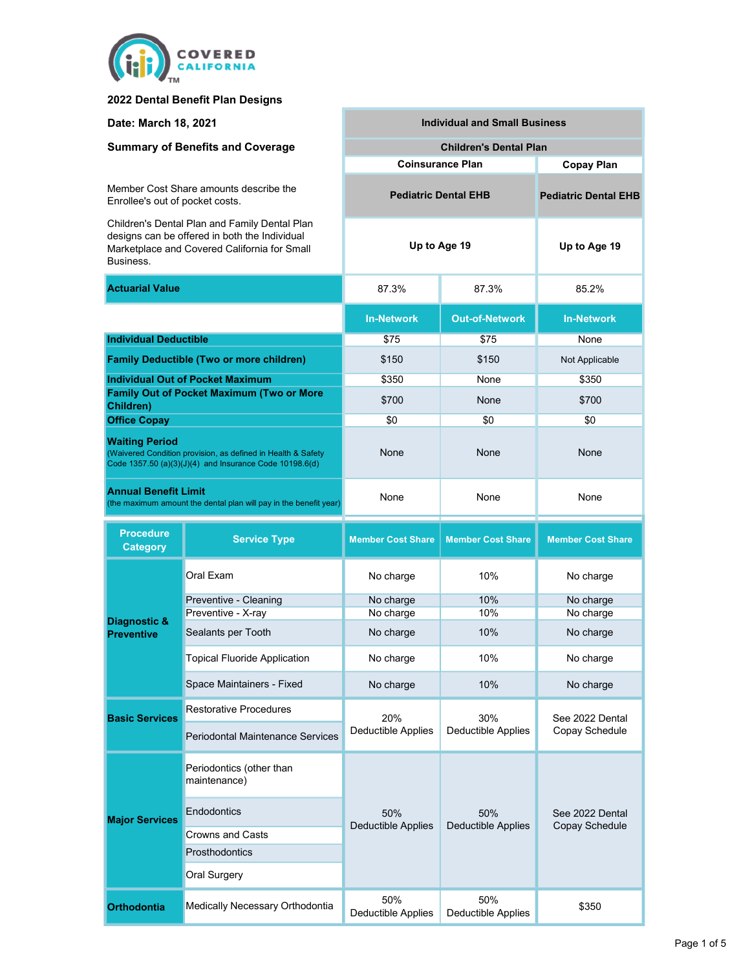

## 2022 Dental Benefit Plan Designs

| Date: March 18, 2021                                                                                                                                              |                                                  | <b>Individual and Small Business</b> |                             |                                   |  |
|-------------------------------------------------------------------------------------------------------------------------------------------------------------------|--------------------------------------------------|--------------------------------------|-----------------------------|-----------------------------------|--|
| <b>Summary of Benefits and Coverage</b>                                                                                                                           |                                                  | <b>Children's Dental Plan</b>        |                             |                                   |  |
|                                                                                                                                                                   |                                                  | <b>Coinsurance Plan</b>              | <b>Copay Plan</b>           |                                   |  |
| Member Cost Share amounts describe the<br>Enrollee's out of pocket costs.                                                                                         |                                                  | <b>Pediatric Dental EHB</b>          | <b>Pediatric Dental EHB</b> |                                   |  |
| Children's Dental Plan and Family Dental Plan<br>designs can be offered in both the Individual<br>Marketplace and Covered California for Small<br><b>Business</b> |                                                  | Up to Age 19                         | Up to Age 19                |                                   |  |
| <b>Actuarial Value</b>                                                                                                                                            |                                                  | 87.3%                                | 87.3%                       | 85.2%                             |  |
|                                                                                                                                                                   |                                                  | <b>In-Network</b>                    | <b>Out-of-Network</b>       | <b>In-Network</b>                 |  |
| <b>Individual Deductible</b>                                                                                                                                      |                                                  | \$75                                 | \$75                        | None                              |  |
|                                                                                                                                                                   | <b>Family Deductible (Two or more children)</b>  | \$150                                | \$150                       | Not Applicable                    |  |
|                                                                                                                                                                   | <b>Individual Out of Pocket Maximum</b>          | \$350                                | None                        | \$350                             |  |
| Children)                                                                                                                                                         | <b>Family Out of Pocket Maximum (Two or More</b> | \$700                                | None                        | \$700                             |  |
| <b>Office Copay</b>                                                                                                                                               |                                                  | \$0                                  | \$0                         | \$0                               |  |
| <b>Waiting Period</b><br>(Waivered Condition provision, as defined in Health & Safety<br>Code 1357.50 (a)(3)(J)(4) and Insurance Code 10198.6(d)                  |                                                  | None                                 | None                        | None                              |  |
| <b>Annual Benefit Limit</b><br>(the maximum amount the dental plan will pay in the benefit year)                                                                  |                                                  | None<br>None                         |                             | None                              |  |
|                                                                                                                                                                   |                                                  |                                      |                             |                                   |  |
| <b>Procedure</b><br><b>Category</b>                                                                                                                               | <b>Service Type</b>                              | <b>Member Cost Share</b>             | <b>Member Cost Share</b>    | <b>Member Cost Share</b>          |  |
|                                                                                                                                                                   | Oral Exam                                        | No charge                            | 10%                         | No charge                         |  |
|                                                                                                                                                                   | Preventive - Cleaning                            | No charge                            | 10%                         | No charge                         |  |
| Diagnostic &                                                                                                                                                      | Preventive - X-ray                               | No charge                            | 10%                         | No charge                         |  |
| <b>Preventive</b>                                                                                                                                                 | Sealants per Tooth                               | No charge                            | 10%                         | No charge                         |  |
|                                                                                                                                                                   | <b>Topical Fluoride Application</b>              | No charge                            | 10%                         | No charge                         |  |
|                                                                                                                                                                   | Space Maintainers - Fixed                        | No charge                            | 10%                         | No charge                         |  |
|                                                                                                                                                                   | <b>Restorative Procedures</b>                    |                                      |                             |                                   |  |
| <b>Basic Services</b>                                                                                                                                             | <b>Periodontal Maintenance Services</b>          | 20%<br>Deductible Applies            | 30%<br>Deductible Applies   | See 2022 Dental<br>Copay Schedule |  |
|                                                                                                                                                                   | Periodontics (other than<br>maintenance)         |                                      |                             |                                   |  |
| <b>Major Services</b>                                                                                                                                             | Endodontics                                      | 50%                                  | 50%                         | See 2022 Dental                   |  |
|                                                                                                                                                                   | <b>Crowns and Casts</b>                          | <b>Deductible Applies</b>            | <b>Deductible Applies</b>   | Copay Schedule                    |  |
|                                                                                                                                                                   | Prosthodontics                                   |                                      |                             |                                   |  |
|                                                                                                                                                                   | <b>Oral Surgery</b>                              |                                      |                             |                                   |  |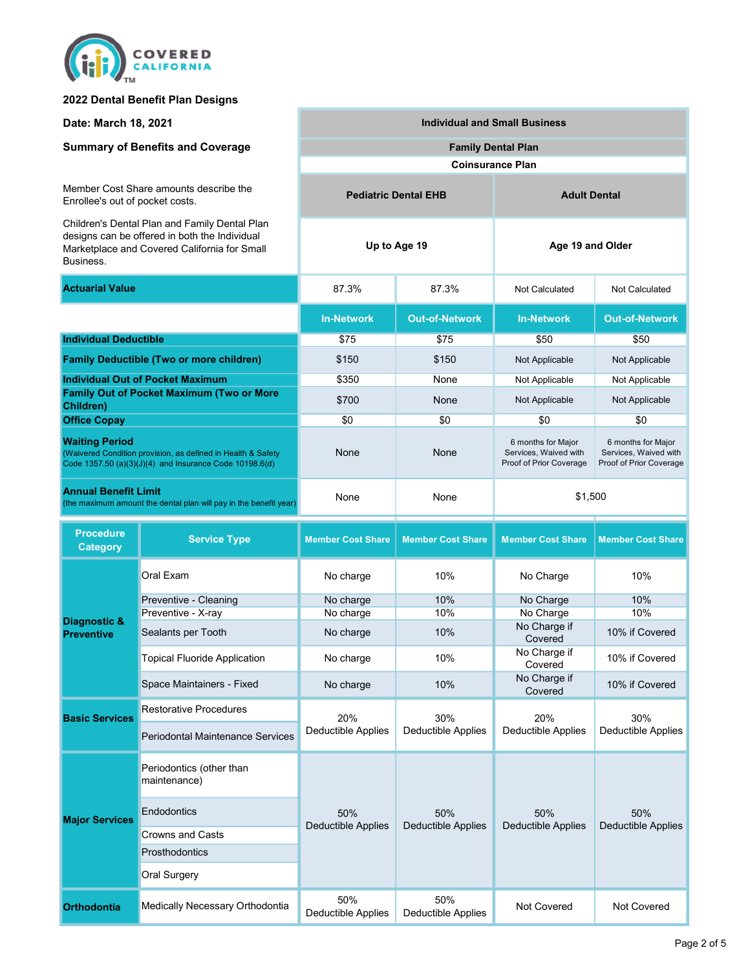

### 2022 Dental Benefit Plan Designs

Date: March 18, 2021

#### Summary of Benefits and Coverage

Member Cost Share amounts describe the Enrollee's out of pocket costs.

Children's Dental Plan and Family Dental Plan designs can be offered in both the Individual Marketplace and Covered California for Small Business.

| acciaino can po chicroa in pour uno marviadar<br>Marketplace and Covered California for Small<br>Business.                                          | Up to Age 19      |                       | Age 19 and Older                                                       |                                                                        |
|-----------------------------------------------------------------------------------------------------------------------------------------------------|-------------------|-----------------------|------------------------------------------------------------------------|------------------------------------------------------------------------|
| <b>Actuarial Value</b>                                                                                                                              | 87.3%             | 87.3%                 | Not Calculated                                                         | Not Calculated                                                         |
|                                                                                                                                                     | <b>In-Network</b> | <b>Out-of-Network</b> | <b>In-Network</b>                                                      | <b>Out-of-Network</b>                                                  |
| <b>Individual Deductible</b>                                                                                                                        | \$75              | \$75                  | \$50                                                                   | \$50                                                                   |
| <b>Family Deductible (Two or more children)</b>                                                                                                     | \$150             | \$150                 | Not Applicable                                                         | Not Applicable                                                         |
| <b>Individual Out of Pocket Maximum</b>                                                                                                             | \$350             | None                  | Not Applicable                                                         | Not Applicable                                                         |
| <b>Family Out of Pocket Maximum (Two or More</b><br>Children)                                                                                       | \$700             | None                  | Not Applicable                                                         | Not Applicable                                                         |
| <b>Office Copay</b>                                                                                                                                 | \$0               | \$0                   | \$0                                                                    | \$0                                                                    |
| <b>Waiting Period</b><br>(Waivered Condition provision, as defined in Health & Safety<br>Code 1357.50 (a) $(3)(J)(4)$ and Insurance Code 10198.6(d) | None              | None                  | 6 months for Major<br>Services, Waived with<br>Proof of Prior Coverage | 6 months for Major<br>Services, Waived with<br>Proof of Prior Coverage |
| <b>Annual Benefit Limit</b><br>(the maximum amount the dental plan will pay in the benefit year)                                                    | None              | None                  | \$1,500                                                                |                                                                        |

Pediatric Dental EHB

Individual and Small Business

Coinsurance Plan

Family Dental Plan

Adult Dental

| <b>Procedure</b><br><b>Category</b> | <b>Service Type</b>                      | <b>Member Cost Share</b>         | <b>Member Cost Share</b>         | <b>Member Cost Share</b>         | <b>Member Cost Share</b>         |
|-------------------------------------|------------------------------------------|----------------------------------|----------------------------------|----------------------------------|----------------------------------|
|                                     | Oral Exam                                | No charge                        | 10%                              | No Charge                        | 10%                              |
|                                     | Preventive - Cleaning                    | No charge                        | 10%                              | No Charge                        | 10%                              |
|                                     | Preventive - X-ray                       | No charge                        | 10%                              | No Charge                        | 10%                              |
| Diagnostic &<br><b>Preventive</b>   | Sealants per Tooth                       | No charge                        | 10%                              | No Charge if<br>Covered          | 10% if Covered                   |
|                                     | <b>Topical Fluoride Application</b>      | No charge                        | 10%                              | No Charge if<br>Covered          | 10% if Covered                   |
|                                     | Space Maintainers - Fixed                | No charge                        | 10%                              | No Charge if<br>Covered          | 10% if Covered                   |
| <b>Basic Services</b>               | <b>Restorative Procedures</b>            | 20%                              | 30%                              | 20%                              | 30%<br>Deductible Applies        |
|                                     | Periodontal Maintenance Services         | Deductible Applies               | <b>Deductible Applies</b>        | Deductible Applies               |                                  |
| <b>Major Services</b>               | Periodontics (other than<br>maintenance) |                                  |                                  | 50%<br><b>Deductible Applies</b> | 50%<br><b>Deductible Applies</b> |
|                                     | Endodontics                              | 50%<br><b>Deductible Applies</b> | 50%<br><b>Deductible Applies</b> |                                  |                                  |
|                                     | Crowns and Casts                         |                                  |                                  |                                  |                                  |
|                                     | Prosthodontics                           |                                  |                                  |                                  |                                  |
|                                     | Oral Surgery                             |                                  |                                  |                                  |                                  |
| <b>Orthodontia</b>                  | Medically Necessary Orthodontia          | 50%<br><b>Deductible Applies</b> | 50%<br><b>Deductible Applies</b> | <b>Not Covered</b>               | <b>Not Covered</b>               |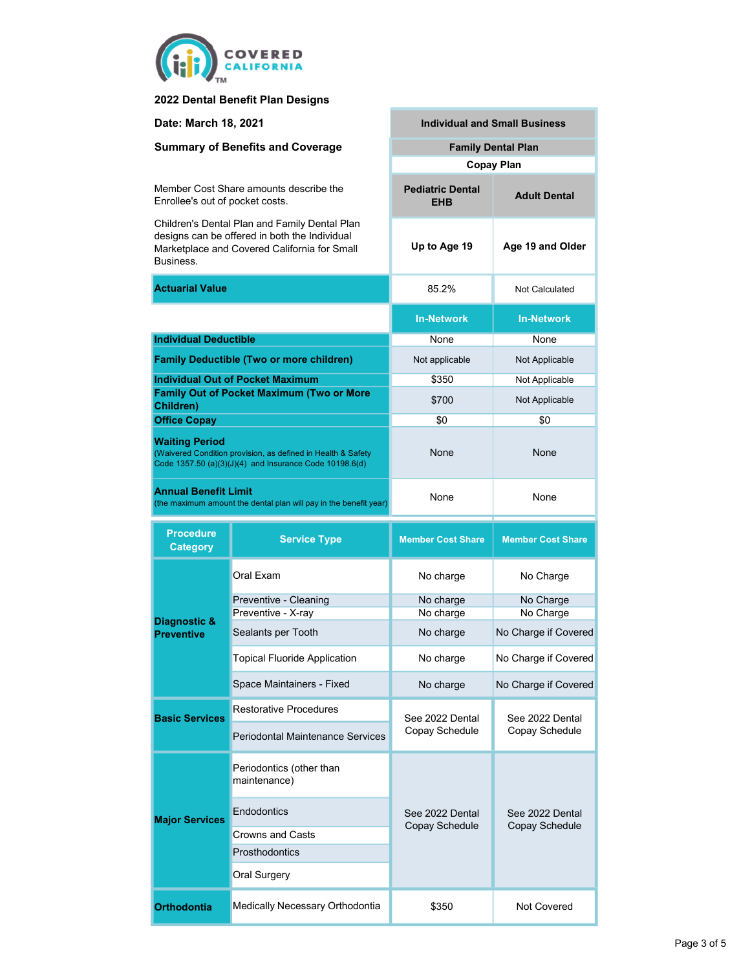

### 2022 Dental Benefit Plan Designs

|  | Date: March 18, 2021 |  |  |
|--|----------------------|--|--|
|--|----------------------|--|--|

#### Sum

| <b>Summary of Benefits and Coverage</b>                                                                                                                           |                                                                                                                         | <b>Family Dental Plan</b>             |                          |  |
|-------------------------------------------------------------------------------------------------------------------------------------------------------------------|-------------------------------------------------------------------------------------------------------------------------|---------------------------------------|--------------------------|--|
|                                                                                                                                                                   |                                                                                                                         | <b>Copay Plan</b>                     |                          |  |
| Enrollee's out of pocket costs.                                                                                                                                   | Member Cost Share amounts describe the                                                                                  | <b>Pediatric Dental</b><br><b>EHB</b> | <b>Adult Dental</b>      |  |
| Children's Dental Plan and Family Dental Plan<br>designs can be offered in both the Individual<br>Marketplace and Covered California for Small<br><b>Business</b> |                                                                                                                         | Up to Age 19                          | Age 19 and Older         |  |
| <b>Actuarial Value</b>                                                                                                                                            |                                                                                                                         | 85.2%                                 | Not Calculated           |  |
|                                                                                                                                                                   |                                                                                                                         | <b>In-Network</b>                     | <b>In-Network</b>        |  |
| <b>Individual Deductible</b>                                                                                                                                      |                                                                                                                         | None                                  | None                     |  |
|                                                                                                                                                                   | <b>Family Deductible (Two or more children)</b>                                                                         | Not applicable                        | Not Applicable           |  |
|                                                                                                                                                                   | <b>Individual Out of Pocket Maximum</b>                                                                                 | \$350                                 | Not Applicable           |  |
| Children)                                                                                                                                                         | <b>Family Out of Pocket Maximum (Two or More</b>                                                                        | \$700                                 | Not Applicable           |  |
| <b>Office Copay</b>                                                                                                                                               |                                                                                                                         | \$0                                   | \$0                      |  |
| <b>Waiting Period</b>                                                                                                                                             | (Waivered Condition provision, as defined in Health & Safety<br>Code 1357.50 (a)(3)(J)(4) and Insurance Code 10198.6(d) |                                       | None                     |  |
| <b>Annual Benefit Limit</b>                                                                                                                                       | (the maximum amount the dental plan will pay in the benefit year)                                                       | None                                  | None                     |  |
|                                                                                                                                                                   |                                                                                                                         |                                       |                          |  |
| <b>Procedure</b><br><b>Category</b>                                                                                                                               | <b>Service Type</b>                                                                                                     | <b>Member Cost Share</b>              | <b>Member Cost Share</b> |  |
|                                                                                                                                                                   | Oral Exam                                                                                                               | No charge                             | No Charge                |  |
|                                                                                                                                                                   | Preventive - Cleaning                                                                                                   | No charge                             | No Charge                |  |
|                                                                                                                                                                   | Preventive - X-ray                                                                                                      | No charge                             | No Charge                |  |
| Diagnostic &<br><b>Preventive</b>                                                                                                                                 | Sealants per Tooth                                                                                                      | No charge                             | No Charge if Covered     |  |
|                                                                                                                                                                   | <b>Topical Fluoride Application</b>                                                                                     | No charge                             | No Charge if Covered     |  |
|                                                                                                                                                                   | Space Maintainers - Fixed                                                                                               | No charge                             | No Charge if Covered     |  |
| <b>Basic Services</b>                                                                                                                                             | Restorative Procedures                                                                                                  | See 2022 Dental                       | See 2022 Dental          |  |
|                                                                                                                                                                   | Periodontal Maintenance Services                                                                                        | Copay Schedule                        | Copay Schedule           |  |
|                                                                                                                                                                   | Periodontics (other than<br>maintenance)                                                                                |                                       |                          |  |
| <b>Major Services</b>                                                                                                                                             | Endodontics                                                                                                             | See 2022 Dental                       | See 2022 Dental          |  |
|                                                                                                                                                                   | Crowns and Casts                                                                                                        | Copay Schedule                        | Copay Schedule           |  |
|                                                                                                                                                                   | Prosthodontics                                                                                                          |                                       |                          |  |
|                                                                                                                                                                   | Oral Surgery                                                                                                            |                                       |                          |  |

Individual and Small Business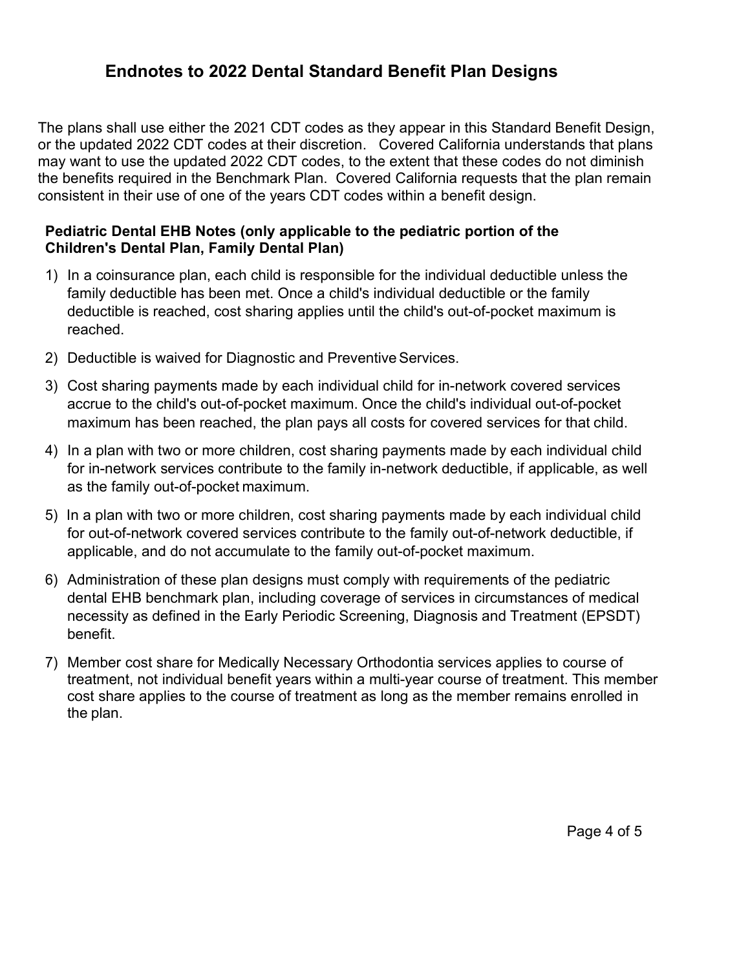# Endnotes to 2022 Dental Standard Benefit Plan Designs

The plans shall use either the 2021 CDT codes as they appear in this Standard Benefit Design, or the updated 2022 CDT codes at their discretion. Covered California understands that plans may want to use the updated 2022 CDT codes, to the extent that these codes do not diminish the benefits required in the Benchmark Plan. Covered California requests that the plan remain consistent in their use of one of the years CDT codes within a benefit design.

## Pediatric Dental EHB Notes (only applicable to the pediatric portion of the Children's Dental Plan, Family Dental Plan)

- 1) In a coinsurance plan, each child is responsible for the individual deductible unless the family deductible has been met. Once a child's individual deductible or the family deductible is reached, cost sharing applies until the child's out-of-pocket maximum is reached.
- 2) Deductible is waived for Diagnostic and Preventive Services.
- 3) Cost sharing payments made by each individual child for in-network covered services accrue to the child's out-of-pocket maximum. Once the child's individual out-of-pocket maximum has been reached, the plan pays all costs for covered services for that child.
- 4) In a plan with two or more children, cost sharing payments made by each individual child for in-network services contribute to the family in-network deductible, if applicable, as well as the family out-of-pocket maximum.
- 5) In a plan with two or more children, cost sharing payments made by each individual child for out-of-network covered services contribute to the family out-of-network deductible, if applicable, and do not accumulate to the family out-of-pocket maximum.
- 6) Administration of these plan designs must comply with requirements of the pediatric dental EHB benchmark plan, including coverage of services in circumstances of medical necessity as defined in the Early Periodic Screening, Diagnosis and Treatment (EPSDT) benefit.
- 7) Member cost share for Medically Necessary Orthodontia services applies to course of treatment, not individual benefit years within a multi-year course of treatment. This member cost share applies to the course of treatment as long as the member remains enrolled in the plan.